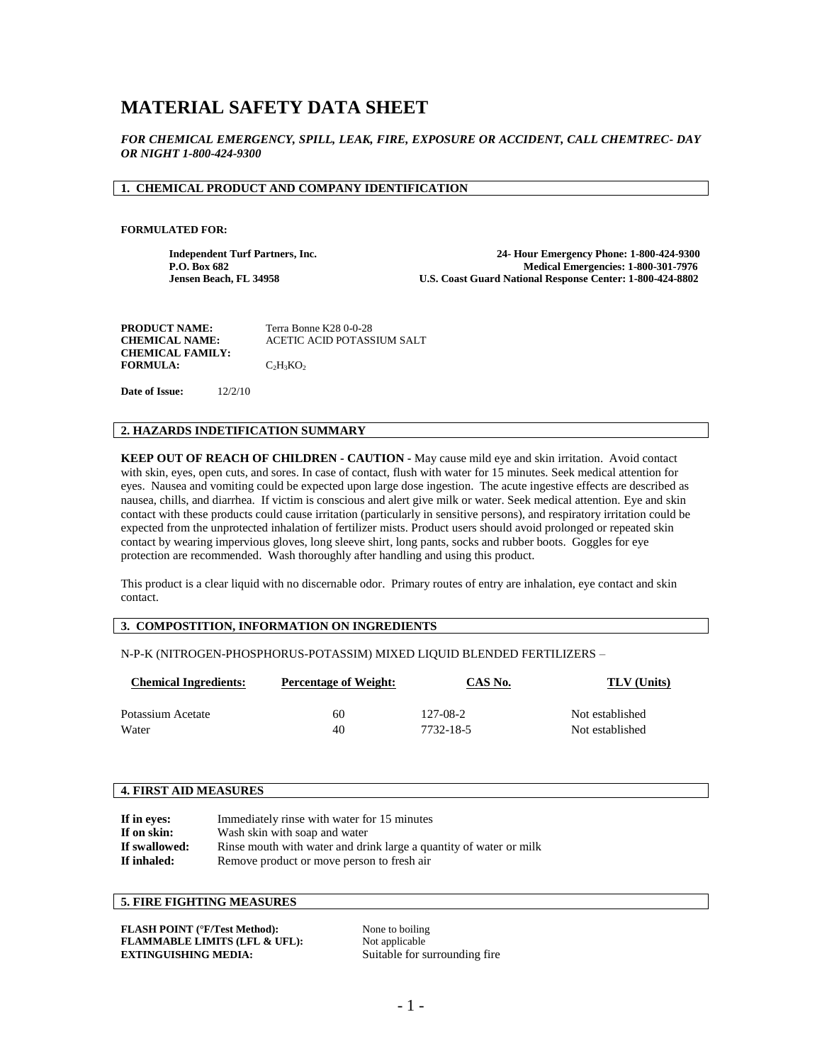# **MATERIAL SAFETY DATA SHEET**

*FOR CHEMICAL EMERGENCY, SPILL, LEAK, FIRE, EXPOSURE OR ACCIDENT, CALL CHEMTREC- DAY OR NIGHT 1-800-424-9300*

## **1. CHEMICAL PRODUCT AND COMPANY IDENTIFICATION**

#### **FORMULATED FOR:**

**Independent Turf Partners, Inc.** 24- **Hour Emergency Phone: 1-800-424-9300**<br>P.O. Box 682<br>Medical Emergencies: 1-800-301-7976 **P.O. Box 682 Medical Emergencies: 1-800-301-7976 U.S. Coast Guard National Response Center: 1-800-424-8802** 

| PRODUCT NAME:    | Terra Bonne K28 0-0-28     |
|------------------|----------------------------|
| CHEMICAL NAME:   | ACETIC ACID POTASSIUM SALT |
| CHEMICAL FAMILY: |                            |
| FORMULA:         | $C_2H_3KO_2$               |

**Date of Issue:** 12/2/10

## **2. HAZARDS INDETIFICATION SUMMARY**

**KEEP OUT OF REACH OF CHILDREN - CAUTION -** May cause mild eye and skin irritation. Avoid contact with skin, eyes, open cuts, and sores. In case of contact, flush with water for 15 minutes. Seek medical attention for eyes. Nausea and vomiting could be expected upon large dose ingestion. The acute ingestive effects are described as nausea, chills, and diarrhea. If victim is conscious and alert give milk or water. Seek medical attention. Eye and skin contact with these products could cause irritation (particularly in sensitive persons), and respiratory irritation could be expected from the unprotected inhalation of fertilizer mists. Product users should avoid prolonged or repeated skin contact by wearing impervious gloves, long sleeve shirt, long pants, socks and rubber boots. Goggles for eye protection are recommended. Wash thoroughly after handling and using this product.

This product is a clear liquid with no discernable odor. Primary routes of entry are inhalation, eye contact and skin contact.

## **3. COMPOSTITION, INFORMATION ON INGREDIENTS**

### N-P-K (NITROGEN-PHOSPHORUS-POTASSIM) MIXED LIQUID BLENDED FERTILIZERS –

| <b>Chemical Ingredients:</b> | <b>Percentage of Weight:</b> | CAS No.   | TLV (Units)     |
|------------------------------|------------------------------|-----------|-----------------|
| Potassium Acetate            | 60                           | 127-08-2  | Not established |
| Water                        | 40                           | 7732-18-5 | Not established |

# **4. FIRST AID MEASURES**

| If in eves:   | Immediately rinse with water for 15 minutes                        |
|---------------|--------------------------------------------------------------------|
| If on skin:   | Wash skin with soap and water                                      |
| If swallowed: | Rinse mouth with water and drink large a quantity of water or milk |
| If inhaled:   | Remove product or move person to fresh air                         |

# **5. FIRE FIGHTING MEASURES**

**FLASH POINT** ( ${}^{\circ}$ **F**/Test Method): None to boiling **FLAMMABLE LIMITS (LFL & UFL):** Not applicable **EXTINGUISHING MEDIA:** Suitable for surrounding fire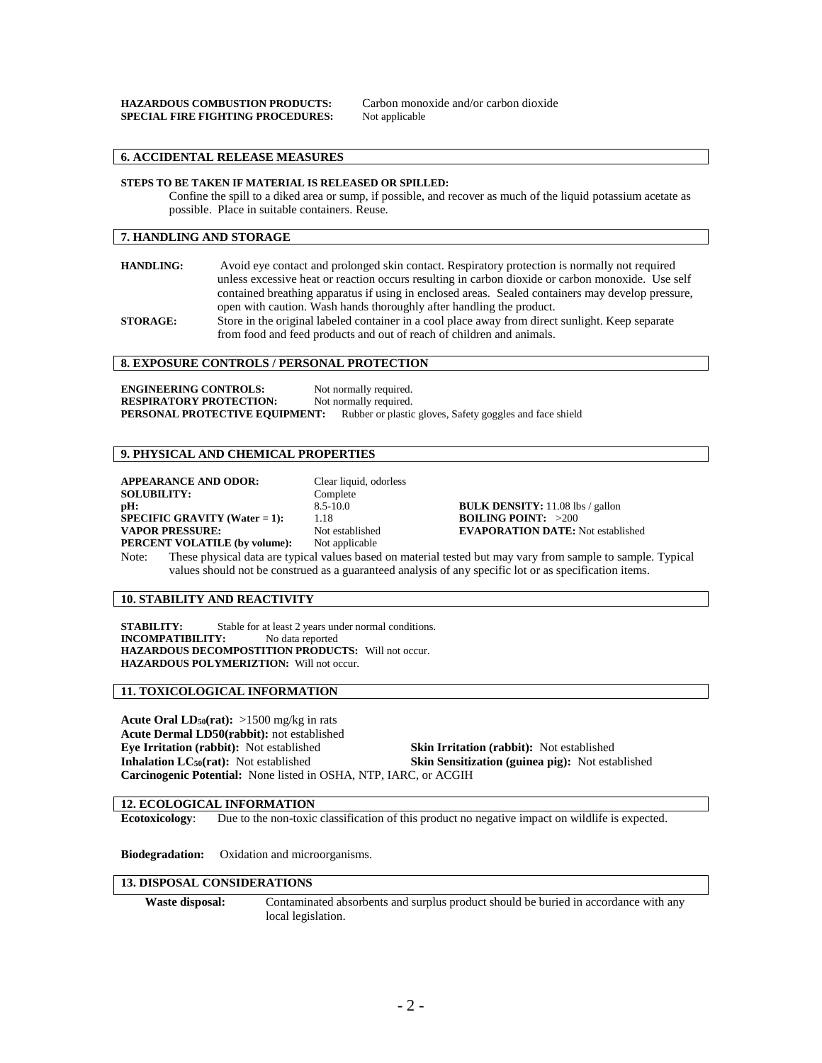**HAZARDOUS COMBUSTION PRODUCTS:** Carbon monoxide and/or carbon dioxide SPECIAL FIRE FIGHTING PROCEDURES: Not applicable **SPECIAL FIRE FIGHTING PROCEDURES:** 

# **6. ACCIDENTAL RELEASE MEASURES**

### **STEPS TO BE TAKEN IF MATERIAL IS RELEASED OR SPILLED:**

Confine the spill to a diked area or sump, if possible, and recover as much of the liquid potassium acetate as possible. Place in suitable containers. Reuse.

## **7. HANDLING AND STORAGE**

| <b>HANDLING:</b> | Avoid eye contact and prolonged skin contact. Respiratory protection is normally not required     |
|------------------|---------------------------------------------------------------------------------------------------|
|                  | unless excessive heat or reaction occurs resulting in carbon dioxide or carbon monoxide. Use self |
|                  | contained breathing apparatus if using in enclosed areas. Sealed containers may develop pressure, |
|                  | open with caution. Wash hands thoroughly after handling the product.                              |
| <b>STORAGE:</b>  | Store in the original labeled container in a cool place away from direct sunlight. Keep separate  |
|                  | from food and feed products and out of reach of children and animals.                             |

#### **8. EXPOSURE CONTROLS / PERSONAL PROTECTION**

**ENGINEERING CONTROLS:** Not normally required.<br> **RESPIRATORY PROTECTION:** Not normally required. **RESPIRATORY PROTECTION: PERSONAL PROTECTIVE EQUIPMENT:** Rubber or plastic gloves, Safety goggles and face shield

#### **9. PHYSICAL AND CHEMICAL PROPERTIES**

| <b>APPEARANCE AND ODOR:</b>          | Clear liquid, odorless |                                                                                                             |
|--------------------------------------|------------------------|-------------------------------------------------------------------------------------------------------------|
| <b>SOLUBILITY:</b>                   | Complete               |                                                                                                             |
| pH:                                  | $8.5 - 10.0$           | <b>BULK DENSITY:</b> 11.08 lbs / gallon                                                                     |
| <b>SPECIFIC GRAVITY (Water = 1):</b> | 1.18                   | <b>BOILING POINT:</b> $>200$                                                                                |
| <b>VAPOR PRESSURE:</b>               | Not established        | <b>EVAPORATION DATE:</b> Not established                                                                    |
| <b>PERCENT VOLATILE (by volume):</b> | Not applicable         |                                                                                                             |
|                                      |                        | Note: These physical data are typical values based on material tested but may vary from sample to sample. T |

Note: These physical data are typical values based on material tested but may vary from sample to sample. Typical values should not be construed as a guaranteed analysis of any specific lot or as specification items.

## **10. STABILITY AND REACTIVITY**

**STABILITY:** Stable for at least 2 years under normal conditions.<br>**INCOMPATIBILITY:** No data reported **INCOMPATIBILITY: HAZARDOUS DECOMPOSTITION PRODUCTS:** Will not occur. **HAZARDOUS POLYMERIZTION:** Will not occur.

## **11. TOXICOLOGICAL INFORMATION**

**Acute Oral LD** $_{50}$ (rat): >1500 mg/kg in rats **Acute Dermal LD50(rabbit):** not established **Eye Irritation (rabbit):** Not established **Skin Irritation (rabbit):** Not established **Inhalation LC<sub>50</sub>**(rat): Not established **Skin Sensitization (guinea pig):** Not established **Carcinogenic Potential:** None listed in OSHA, NTP, IARC, or ACGIH

#### **12. ECOLOGICAL INFORMATION**

**Ecotoxicology**: Due to the non-toxic classification of this product no negative impact on wildlife is expected.

**Biodegradation:** Oxidation and microorganisms.

#### **13. DISPOSAL CONSIDERATIONS**

**Waste disposal:** Contaminated absorbents and surplus product should be buried in accordance with any local legislation.